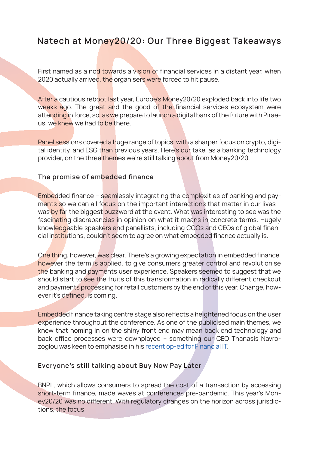## Natech at Money20/20: Our Three Biggest Takeaways

First named as a nod towards a vision of financial services in a distant year, when 2020 actually arrived, the organisers were forced to hit pause.

After a cautious reboot last year, Europe's Money20/20 exploded back into life two weeks ago. The great and the good of the financial services ecosystem were attending in force, so, as we prepare to launch a digital bank of the future with Piraeus, we knew we had to be there.

Panel sessions covered a huge range of topics, with a sharper focus on crypto, digital identity, and ESG than previous years. Here's our take, as a banking technology provider, on the three themes we're still talking about from Money20/20.

## The promise of embedded finance

Embedded finance – seamlessly integrating the complexities of banking and payments so we can all focus on the important interactions that matter in our lives was by far the biggest buzzword at the event. What was interesting to see was the fascinating discrepancies in opinion on what it means in concrete terms. Hugely knowledgeable speakers and panellists, including COOs and CEOs of global financial institutions, couldn't seem to agree on what embedded finance actually is.

One thing, however, was clear. There's a growing expectation in embedded finance, however the term is applied, to give consumers greater control and revolutionise the banking and payments user experience. Speakers seemed to suggest that we should start to see the fruits of this transformation in radically different checkout and payments processing for retail customers by the end of this year. Change, however it's defined, is coming.

Embedded finance taking centre stage also reflects a heightened focus on the user experience throughout the conference. As one of the publicised main themes, we knew that homing in on the shiny front end may mean back end technology and back office processes were downplayed – something our CEO Thanasis Navrozoglou was keen to emphasise in his recent op-ed for Financial IT.

## Everyone's still talking about Buy Now Pay Later

BNPL, which allows consumers to spread the cost of a transaction by accessing short-term finance, made waves at conferences pre-pandemic. This year's Money20/20 was no different. With regulatory changes on the horizon across jurisdictions, the focus